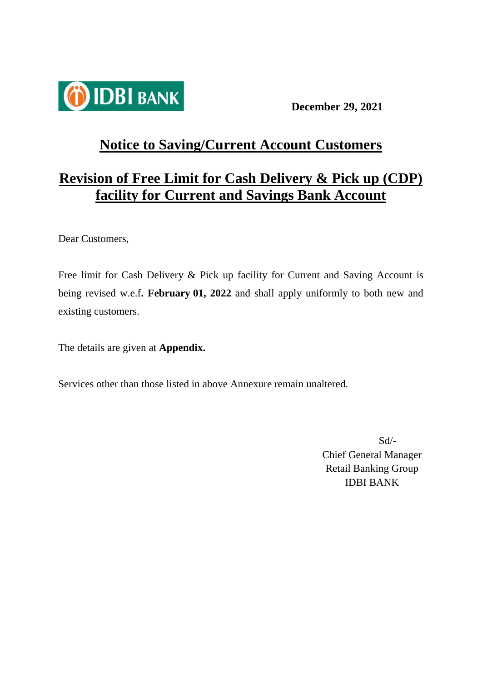

**December 29, 2021**

# **Notice to Saving/Current Account Customers**

# **Revision of Free Limit for Cash Delivery & Pick up (CDP) facility for Current and Savings Bank Account**

Dear Customers,

Free limit for Cash Delivery & Pick up facility for Current and Saving Account is being revised w.e.f**. February 01, 2022** and shall apply uniformly to both new and existing customers.

The details are given at **Appendix.**

Services other than those listed in above Annexure remain unaltered.

Sd/- Chief General Manager Retail Banking Group IDBI BANK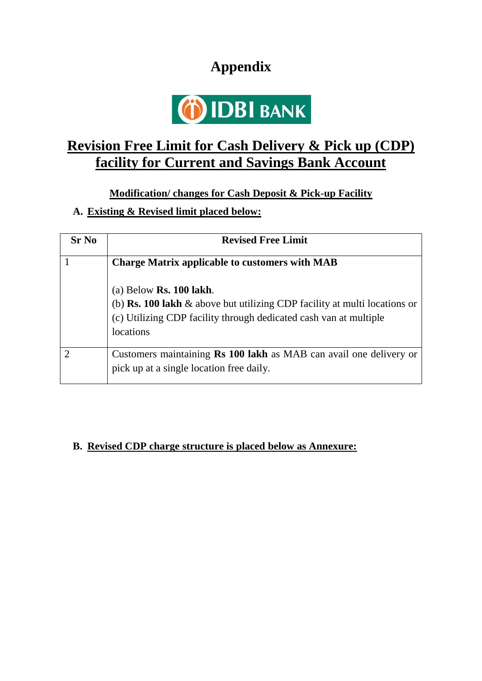# **Appendix**



### **Revision Free Limit for Cash Delivery & Pick up (CDP) facility for Current and Savings Bank Account**

**Modification/ changes for Cash Deposit & Pick-up Facility**

#### **A. Existing & Revised limit placed below:**

| <b>Sr No</b> | <b>Revised Free Limit</b>                                                                                                                                                                                |
|--------------|----------------------------------------------------------------------------------------------------------------------------------------------------------------------------------------------------------|
|              | <b>Charge Matrix applicable to customers with MAB</b>                                                                                                                                                    |
|              | (a) Below <b>Rs. 100 lakh</b> .<br>(b) <b>Rs. 100 lakh</b> $\&$ above but utilizing CDP facility at multi locations or<br>(c) Utilizing CDP facility through dedicated cash van at multiple<br>locations |
| ∩            | Customers maintaining <b>Rs 100 lakh</b> as MAB can avail one delivery or<br>pick up at a single location free daily.                                                                                    |

#### **B. Revised CDP charge structure is placed below as Annexure:**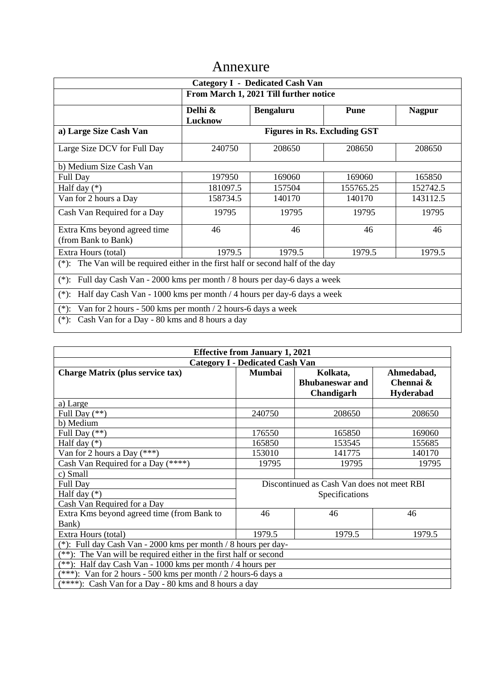### Annexure

| <b>Category I - Dedicated Cash Van</b>                                                |                                     |                  |           |               |  |  |
|---------------------------------------------------------------------------------------|-------------------------------------|------------------|-----------|---------------|--|--|
| From March 1, 2021 Till further notice                                                |                                     |                  |           |               |  |  |
|                                                                                       | Delhi &                             | <b>Bengaluru</b> | Pune      | <b>Nagpur</b> |  |  |
|                                                                                       | Lucknow                             |                  |           |               |  |  |
| a) Large Size Cash Van                                                                | <b>Figures in Rs. Excluding GST</b> |                  |           |               |  |  |
| Large Size DCV for Full Day                                                           | 240750                              | 208650           | 208650    | 208650        |  |  |
| b) Medium Size Cash Van                                                               |                                     |                  |           |               |  |  |
| Full Day                                                                              | 197950                              | 169060           | 169060    | 165850        |  |  |
| Half day $(*)$                                                                        | 181097.5                            | 157504           | 155765.25 | 152742.5      |  |  |
| Van for 2 hours a Day                                                                 | 158734.5                            | 140170           | 140170    | 143112.5      |  |  |
| Cash Van Required for a Day                                                           | 19795                               | 19795            | 19795     | 19795         |  |  |
| Extra Kms beyond agreed time<br>(from Bank to Bank)                                   | 46                                  | 46               | 46        | 46            |  |  |
| Extra Hours (total)                                                                   | 1979.5                              | 1979.5           | 1979.5    | 1979.5        |  |  |
| The Van will be required either in the first half or second half of the day<br>$(*):$ |                                     |                  |           |               |  |  |
| Full day Cash Van - 2000 kms per month / 8 hours per day-6 days a week<br>$(*)$ :     |                                     |                  |           |               |  |  |
| Half day Cash Van - 1000 kms per month / 4 hours per day-6 days a week<br>$(*)$ :     |                                     |                  |           |               |  |  |
| Van for 2 hours - 500 kms per month / 2 hours-6 days a week<br>$(*)$ :                |                                     |                  |           |               |  |  |
| Cash Van for a Day - 80 kms and 8 hours a day<br>$(*)$ :                              |                                     |                  |           |               |  |  |

| <b>Effective from January 1, 2021</b>                                |                                            |                        |                  |  |  |
|----------------------------------------------------------------------|--------------------------------------------|------------------------|------------------|--|--|
| <b>Category I - Dedicated Cash Van</b>                               |                                            |                        |                  |  |  |
| <b>Charge Matrix (plus service tax)</b>                              | <b>Mumbai</b>                              | Kolkata,               | Ahmedabad,       |  |  |
|                                                                      |                                            | <b>Bhubaneswar and</b> | Chennai &        |  |  |
|                                                                      |                                            | Chandigarh             | <b>Hyderabad</b> |  |  |
| a) Large                                                             |                                            |                        |                  |  |  |
| Full Day $(**)$                                                      | 240750                                     | 208650                 | 208650           |  |  |
| b) Medium                                                            |                                            |                        |                  |  |  |
| Full Day (**)                                                        | 176550                                     | 165850                 | 169060           |  |  |
| Half day $(*)$                                                       | 165850                                     | 153545                 | 155685           |  |  |
| Van for 2 hours a Day $(***)$                                        | 153010                                     | 141775                 | 140170           |  |  |
| Cash Van Required for a Day $(****)$                                 | 19795                                      | 19795                  | 19795            |  |  |
| c) Small                                                             |                                            |                        |                  |  |  |
| Full Day                                                             | Discontinued as Cash Van does not meet RBI |                        |                  |  |  |
| Half day $(*)$                                                       | Specifications                             |                        |                  |  |  |
| Cash Van Required for a Day                                          |                                            |                        |                  |  |  |
| Extra Kms beyond agreed time (from Bank to                           | 46                                         | 46                     | 46               |  |  |
| Bank)                                                                |                                            |                        |                  |  |  |
| Extra Hours (total)                                                  | 1979.5                                     | 1979.5                 | 1979.5           |  |  |
| (*): Full day Cash Van - 2000 kms per month / 8 hours per day-       |                                            |                        |                  |  |  |
| The Van will be required either in the first half or second<br>ั**)∙ |                                            |                        |                  |  |  |
| **): Half day Cash Van - 1000 kms per month / 4 hours per            |                                            |                        |                  |  |  |
| $(***)$ : Van for 2 hours - 500 kms per month / 2 hours-6 days a     |                                            |                        |                  |  |  |
| $(****):$ Cash Van for a Day - 80 kms and 8 hours a day              |                                            |                        |                  |  |  |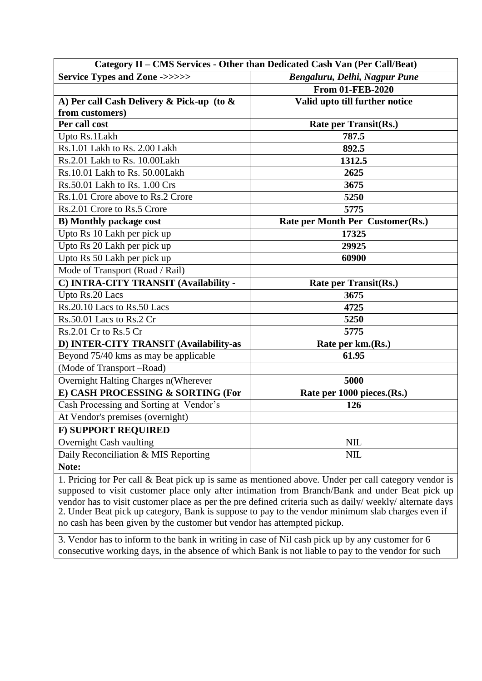| Category II - CMS Services - Other than Dedicated Cash Van (Per Call/Beat) |                                  |  |
|----------------------------------------------------------------------------|----------------------------------|--|
| <b>Service Types and Zone -&gt;&gt;&gt;&gt;&gt;&gt;</b>                    | Bengaluru, Delhi, Nagpur Pune    |  |
|                                                                            | <b>From 01-FEB-2020</b>          |  |
| A) Per call Cash Delivery & Pick-up (to &                                  | Valid upto till further notice   |  |
| from customers)                                                            |                                  |  |
| Per call cost                                                              | Rate per Transit(Rs.)            |  |
| Upto Rs.1Lakh                                                              | 787.5                            |  |
| Rs.1.01 Lakh to Rs. 2.00 Lakh                                              | 892.5                            |  |
| Rs.2.01 Lakh to Rs. 10.00Lakh                                              | 1312.5                           |  |
| Rs.10.01 Lakh to Rs. 50.00Lakh                                             | 2625                             |  |
| Rs.50.01 Lakh to Rs. 1.00 Crs                                              | 3675                             |  |
| Rs.1.01 Crore above to Rs.2 Crore                                          | 5250                             |  |
| Rs.2.01 Crore to Rs.5 Crore                                                | 5775                             |  |
| <b>B)</b> Monthly package cost                                             | Rate per Month Per Customer(Rs.) |  |
| Upto Rs 10 Lakh per pick up                                                | 17325                            |  |
| Upto Rs 20 Lakh per pick up                                                | 29925                            |  |
| Upto Rs 50 Lakh per pick up                                                | 60900                            |  |
| Mode of Transport (Road / Rail)                                            |                                  |  |
| C) INTRA-CITY TRANSIT (Availability -                                      | <b>Rate per Transit(Rs.)</b>     |  |
| Upto Rs.20 Lacs                                                            | 3675                             |  |
| Rs.20.10 Lacs to Rs.50 Lacs                                                | 4725                             |  |
| Rs.50.01 Lacs to Rs.2 Cr                                                   | 5250                             |  |
| Rs.2.01 Cr to Rs.5 Cr                                                      | 5775                             |  |
| D) INTER-CITY TRANSIT (Availability-as                                     | Rate per km.(Rs.)                |  |
| Beyond 75/40 kms as may be applicable                                      | 61.95                            |  |
| (Mode of Transport -Road)                                                  |                                  |  |
| Overnight Halting Charges n(Wherever                                       | 5000                             |  |
| E) CASH PROCESSING & SORTING (For                                          | Rate per 1000 pieces.(Rs.)       |  |
| Cash Processing and Sorting at Vendor's                                    | 126                              |  |
| At Vendor's premises (overnight)                                           |                                  |  |
| <b>F) SUPPORT REQUIRED</b>                                                 |                                  |  |
| Overnight Cash vaulting                                                    | <b>NIL</b>                       |  |
| Daily Reconciliation & MIS Reporting                                       | <b>NIL</b>                       |  |
| Note:                                                                      |                                  |  |

1. Pricing for Per call & Beat pick up is same as mentioned above. Under per call category vendor is supposed to visit customer place only after intimation from Branch/Bank and under Beat pick up vendor has to visit customer place as per the pre defined criteria such as daily/ weekly/ alternate days 2. Under Beat pick up category, Bank is suppose to pay to the vendor minimum slab charges even if no cash has been given by the customer but vendor has attempted pickup.

3. Vendor has to inform to the bank in writing in case of Nil cash pick up by any customer for 6 consecutive working days, in the absence of which Bank is not liable to pay to the vendor for such

pick ups.<br>Pick ups. 1990